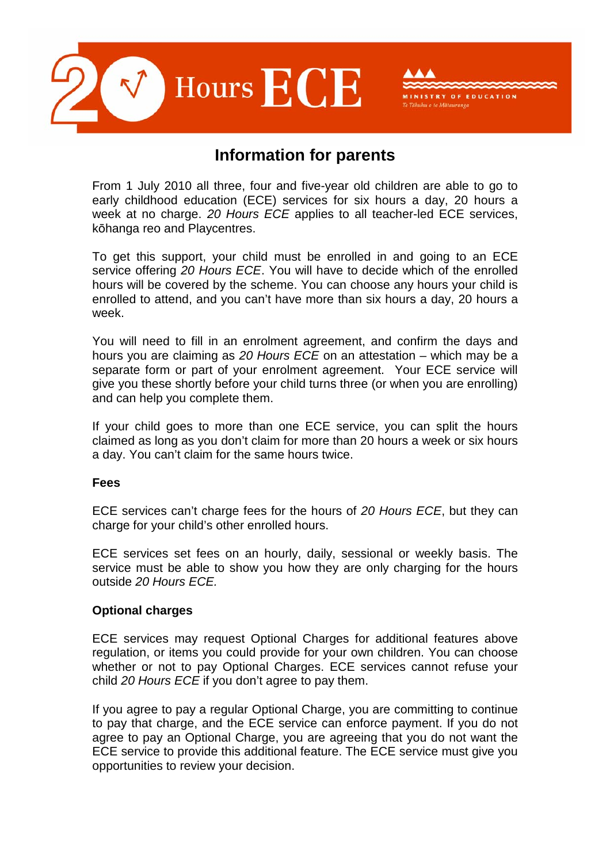

# **Information for parents**

TRY OF EDUCATION

 From 1 July 2010 all three, four and five-year old children are able to go to early childhood education (ECE) services for six hours a day, 20 hours a week at no charge. 20 Hours ECE applies to all teacher-led ECE services, kōhanga reo and Playcentres.

 To get this support, your child must be enrolled in and going to an ECE service offering 20 Hours ECE. You will have to decide which of the enrolled hours will be covered by the scheme. You can choose any hours your child is enrolled to attend, and you can't have more than six hours a day, 20 hours a week.

 You will need to fill in an enrolment agreement, and confirm the days and hours you are claiming as 20 Hours ECE on an attestation – which may be a separate form or part of your enrolment agreement. Your ECE service will give you these shortly before your child turns three (or when you are enrolling) and can help you complete them.

 If your child goes to more than one ECE service, you can split the hours claimed as long as you don't claim for more than 20 hours a week or six hours a day. You can't claim for the same hours twice.

#### **Fees**

ECE services can't charge fees for the hours of 20 Hours ECE, but they can charge for your child's other enrolled hours.

 ECE services set fees on an hourly, daily, sessional or weekly basis. The service must be able to show you how they are only charging for the hours outside 20 Hours ECE.

## **Optional charges**

 ECE services may request Optional Charges for additional features above regulation, or items you could provide for your own children. You can choose whether or not to pay Optional Charges. ECE services cannot refuse your child 20 Hours ECE if you don't agree to pay them.

 If you agree to pay a regular Optional Charge, you are committing to continue to pay that charge, and the ECE service can enforce payment. If you do not agree to pay an Optional Charge, you are agreeing that you do not want the ECE service to provide this additional feature. The ECE service must give you opportunities to review your decision.